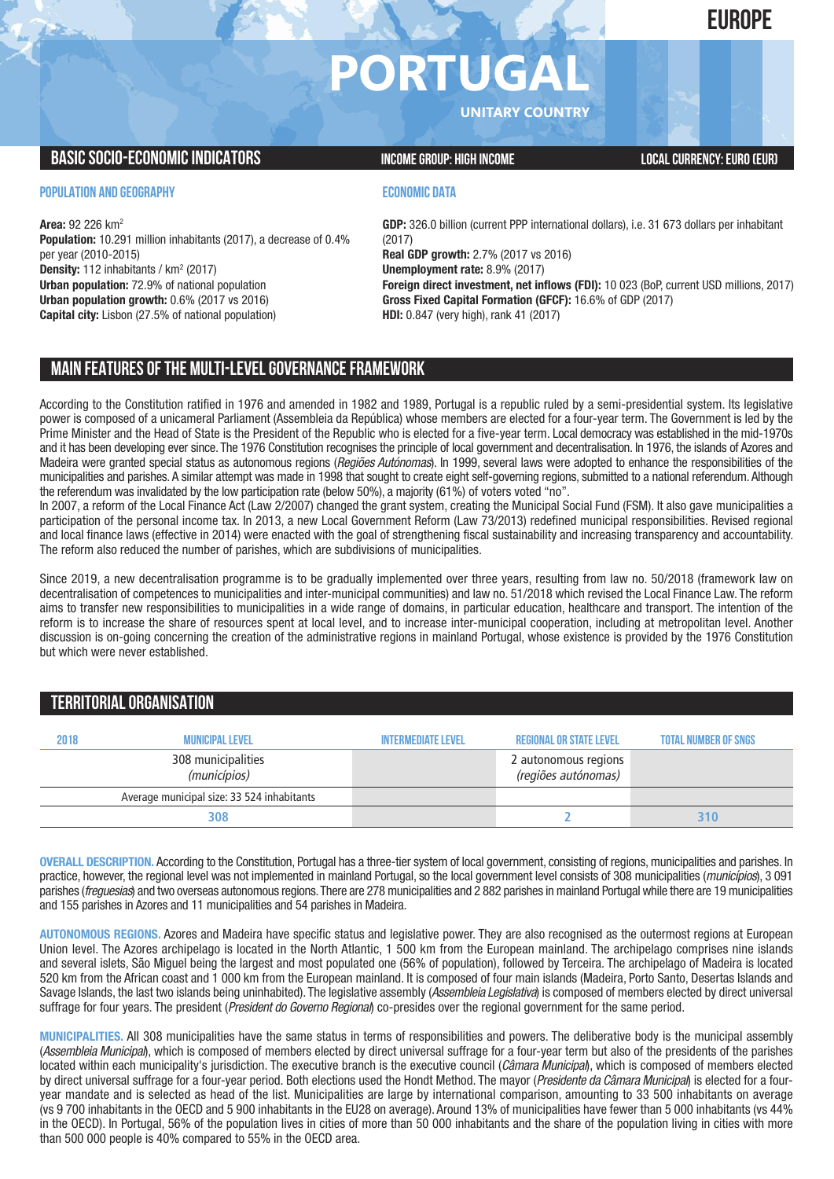# **EUROPE**

# **PORTUGA**

**UNITARY COUNTRY**

# **BASIC SOCIO-ECONOMIC INDICATORS INCOME GROUP:** HIGH INCOME GROUP: HIGH INCOME

### **POPULATION AND GEOGRAPHY**

**Area:** 92 226 km2 **Population:** 10.291 million inhabitants (2017), a decrease of 0.4% per year (2010-2015) **Density:** 112 inhabitants / km<sup>2</sup> (2017) **Urban population:** 72.9% of national population **Urban population growth:** 0.6% (2017 vs 2016) **Capital city:** Lisbon (27.5% of national population)

## **ECONOMIC DATA**

**GDP:** 326.0 billion (current PPP international dollars), i.e. 31 673 dollars per inhabitant (2017) **Real GDP growth:** 2.7% (2017 vs 2016) **Unemployment rate:** 8.9% (2017) **Foreign direct investment, net inflows (FDI):** 10 023 (BoP, current USD millions, 2017) **Gross Fixed Capital Formation (GFCF):** 16.6% of GDP (2017) **HDI:** 0.847 (very high), rank 41 (2017)

# **MAIN FEATURESOFTHE MULTI-LEVELGOVERNANCEFRAMEWORK**

According to the Constitution ratified in 1976 and amended in 1982 and 1989, Portugal is a republic ruled by a semi-presidential system. Its legislative power is composed of a unicameral Parliament (Assembleia da República) whose members are elected for a four-year term. The Government is led by the Prime Minister and the Head of State is the President of the Republic who is elected for a five-year term. Local democracy was established in the mid-1970s and it has been developing ever since. The 1976 Constitution recognises the principle of local government and decentralisation. In 1976, the islands of Azores and Madeira were granted special status as autonomous regions (*Regiões Autónomas*). In 1999, several laws were adopted to enhance the responsibilities of the municipalities and parishes. A similar attempt was made in 1998 that sought to create eight self-governing regions, submitted to a national referendum. Although the referendum was invalidated by the low participation rate (below 50%), a majority (61%) of voters voted "no".

In 2007, a reform of the Local Finance Act (Law 2/2007) changed the grant system, creating the Municipal Social Fund (FSM). It also gave municipalities a participation of the personal income tax. In 2013, a new Local Government Reform (Law 73/2013) redefined municipal responsibilities. Revised regional and local finance laws (effective in 2014) were enacted with the goal of strengthening fiscal sustainability and increasing transparency and accountability. The reform also reduced the number of parishes, which are subdivisions of municipalities.

Since 2019, a new decentralisation programme is to be gradually implemented over three years, resulting from law no. 50/2018 (framework law on decentralisation of competences to municipalities and inter-municipal communities) and law no. 51/2018 which revised the Local Finance Law. The reform aims to transfer new responsibilities to municipalities in a wide range of domains, in particular education, healthcare and transport. The intention of the reform is to increase the share of resources spent at local level, and to increase inter-municipal cooperation, including at metropolitan level. Another discussion is on-going concerning the creation of the administrative regions in mainland Portugal, whose existence is provided by the 1976 Constitution but which were never established.

# **TERRITORIALORGANISATION**

| 2018 | <b>MUNICIPAL LEVEL</b>                     | INTFRMFDIATF I FVFI | <b>REGIONAL OR STATE LEVEL</b>              | <b>TOTAL NUMBER OF SNGS</b> |
|------|--------------------------------------------|---------------------|---------------------------------------------|-----------------------------|
|      | 308 municipalities<br>(municípios)         |                     | 2 autonomous regions<br>(regiões autónomas) |                             |
|      | Average municipal size: 33 524 inhabitants |                     |                                             |                             |
|      | 308                                        |                     |                                             | 310                         |

**OVERALL DESCRIPTION.** According to the Constitution, Portugal has a three-tier system of local government, consisting of regions, municipalities and parishes. In practice, however, the regional level was not implemented in mainland Portugal, so the local government level consists of 308 municipalities (*municípios*), 3 091 parishes (*freguesias*) and two overseas autonomous regions.There are 278 municipalities and 2 882 parishes in mainland Portugal while there are 19 municipalities and 155 parishes in Azores and 11 municipalities and 54 parishes in Madeira.

**AUTONOMOUS REGIONS.** Azores and Madeira have specific status and legislative power. They are also recognised as the outermost regions at European Union level. The Azores archipelago is located in the North Atlantic, 1 500 km from the European mainland. The archipelago comprises nine islands and several islets, São Miguel being the largest and most populated one (56% of population), followed by Terceira. The archipelago of Madeira is located 520 km from the African coast and 1 000 km from the European mainland. It is composed of four main islands (Madeira, Porto Santo, Desertas Islands and Savage Islands, the last two islands being uninhabited). The legislative assembly (*Assembleia Legislativa*) is composed of members elected by direct universal suffrage for four years. The president (*President do Governo Regional*) co-presides over the regional government for the same period.

**MUNICIPALITIES.** All 308 municipalities have the same status in terms of responsibilities and powers. The deliberative body is the municipal assembly (*Assembleia Municipal*), which is composed of members elected by direct universal suffrage for a four-year term but also of the presidents of the parishes located within each municipality's jurisdiction. The executive branch is the executive council (*Câmara Municipal*), which is composed of members elected by direct universal suffrage for a four-year period. Both elections used the Hondt Method. The mayor (*Presidente da Câmara Municipal*) is elected for a fouryear mandate and is selected as head of the list. Municipalities are large by international comparison, amounting to 33 500 inhabitants on average (vs 9 700 inhabitants in the OECD and 5 900 inhabitants in the EU28 on average). Around 13% of municipalities have fewer than 5 000 inhabitants (vs 44% in the OECD). In Portugal, 56% of the population lives in cities of more than 50 000 inhabitants and the share of the population living in cities with more than 500 000 people is 40% compared to 55% in the OECD area.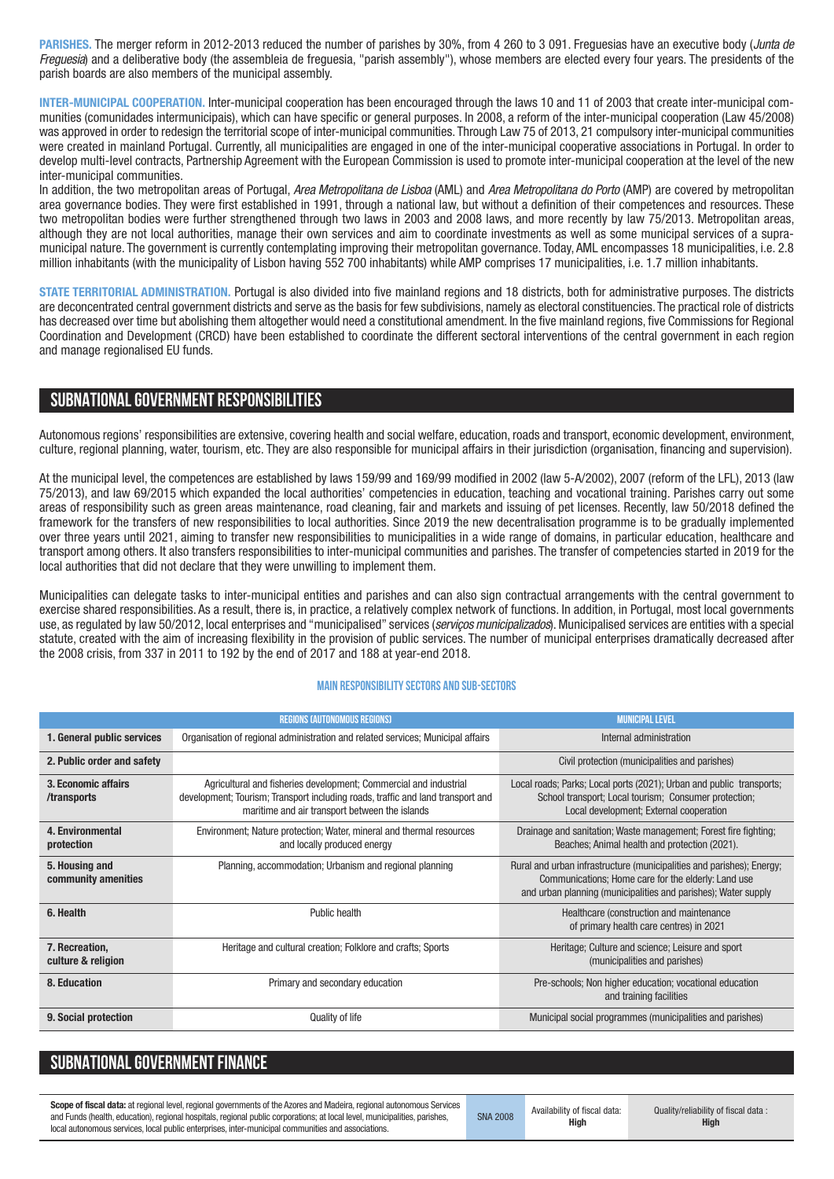**PARISHES.** The merger reform in 2012-2013 reduced the number of parishes by 30%, from 4 260 to 3 091. Freguesias have an executive body (*Junta de Freguesia*) and a deliberative body (the assembleia de freguesia, "parish assembly"), whose members are elected every four years. The presidents of the parish boards are also members of the municipal assembly.

**INTER-MUNICIPAL COOPERATION.** Inter-municipal cooperation has been encouraged through the laws 10 and 11 of 2003 that create inter-municipal communities (comunidades intermunicipais), which can have specific or general purposes. In 2008, a reform of the inter-municipal cooperation (Law 45/2008) was approved in order to redesign the territorial scope of inter-municipal communities. Through Law 75 of 2013, 21 compulsory inter-municipal communities were created in mainland Portugal. Currently, all municipalities are engaged in one of the inter-municipal cooperative associations in Portugal. In order to develop multi-level contracts, Partnership Agreement with the European Commission is used to promote inter-municipal cooperation at the level of the new inter-municipal communities.

In addition, the two metropolitan areas of Portugal, *Area Metropolitana de Lisboa* (AML) and *Area Metropolitana do Porto* (AMP) are covered by metropolitan area governance bodies. They were first established in 1991, through a national law, but without a definition of their competences and resources. These two metropolitan bodies were further strengthened through two laws in 2003 and 2008 laws, and more recently by law 75/2013. Metropolitan areas, although they are not local authorities, manage their own services and aim to coordinate investments as well as some municipal services of a supramunicipal nature. The government is currently contemplating improving their metropolitan governance. Today, AML encompasses 18 municipalities, i.e. 2.8 million inhabitants (with the municipality of Lisbon having 552 700 inhabitants) while AMP comprises 17 municipalities, i.e. 1.7 million inhabitants.

**STATE TERRITORIAL ADMINISTRATION.** Portugal is also divided into five mainland regions and 18 districts, both for administrative purposes. The districts are deconcentrated central government districts and serve as the basis for few subdivisions, namely as electoral constituencies. The practical role of districts has decreased over time but abolishing them altogether would need a constitutional amendment. In the five mainland regions, five Commissions for Regional Coordination and Development (CRCD) have been established to coordinate the different sectoral interventions of the central government in each region and manage regionalised EU funds.

# **SUBNATIONALGOVERNMENT RESPONSIBILITIES**

Autonomous regions' responsibilities are extensive, covering health and social welfare, education, roads and transport, economic development, environment, culture, regional planning, water, tourism, etc. They are also responsible for municipal affairs in their jurisdiction (organisation, financing and supervision).

At the municipal level, the competences are established by laws 159/99 and 169/99 modified in 2002 (law 5-A/2002), 2007 (reform of the LFL), 2013 (law 75/2013), and law 69/2015 which expanded the local authorities' competencies in education, teaching and vocational training. Parishes carry out some areas of responsibility such as green areas maintenance, road cleaning, fair and markets and issuing of pet licenses. Recently, law 50/2018 defined the framework for the transfers of new responsibilities to local authorities. Since 2019 the new decentralisation programme is to be gradually implemented over three years until 2021, aiming to transfer new responsibilities to municipalities in a wide range of domains, in particular education, healthcare and transport among others. It also transfers responsibilities to inter-municipal communities and parishes. The transfer of competencies started in 2019 for the local authorities that did not declare that they were unwilling to implement them.

Municipalities can delegate tasks to inter-municipal entities and parishes and can also sign contractual arrangements with the central government to exercise shared responsibilities. As a result, there is, in practice, a relatively complex network of functions. In addition, in Portugal, most local governments use, as regulated by law 50/2012, local enterprises and "municipalised" services (*serviços municipalizados*). Municipalised services are entities with a special statute, created with the aim of increasing flexibility in the provision of public services. The number of municipal enterprises dramatically decreased after the 2008 crisis, from 337 in 2011 to 192 by the end of 2017 and 188 at year-end 2018.

#### **Main responsibilitysectors and sub-sectors**

|                                       | <b>REGIONS (AUTONOMOUS REGIONS)</b>                                                                                                                                                                    | <b>MUNICIPAL LEVEL</b>                                                                                                                                                                         |
|---------------------------------------|--------------------------------------------------------------------------------------------------------------------------------------------------------------------------------------------------------|------------------------------------------------------------------------------------------------------------------------------------------------------------------------------------------------|
| 1. General public services            | Organisation of regional administration and related services; Municipal affairs                                                                                                                        | Internal administration                                                                                                                                                                        |
| 2. Public order and safety            |                                                                                                                                                                                                        | Civil protection (municipalities and parishes)                                                                                                                                                 |
| 3. Economic affairs<br>/transports    | Agricultural and fisheries development; Commercial and industrial<br>development; Tourism; Transport including roads, traffic and land transport and<br>maritime and air transport between the islands | Local roads; Parks; Local ports (2021); Urban and public transports;<br>School transport; Local tourism; Consumer protection;<br>Local development; External cooperation                       |
| 4. Environmental<br>protection        | Environment; Nature protection; Water, mineral and thermal resources<br>and locally produced energy                                                                                                    | Drainage and sanitation; Waste management; Forest fire fighting;<br>Beaches; Animal health and protection (2021).                                                                              |
| 5. Housing and<br>community amenities | Planning, accommodation; Urbanism and regional planning                                                                                                                                                | Rural and urban infrastructure (municipalities and parishes); Energy;<br>Communications; Home care for the elderly: Land use<br>and urban planning (municipalities and parishes); Water supply |
| 6. Health                             | Public health                                                                                                                                                                                          | Healthcare (construction and maintenance<br>of primary health care centres) in 2021                                                                                                            |
| 7. Recreation,<br>culture & religion  | Heritage and cultural creation; Folklore and crafts; Sports                                                                                                                                            | Heritage; Culture and science; Leisure and sport<br>(municipalities and parishes)                                                                                                              |
| 8. Education                          | Primary and secondary education                                                                                                                                                                        | Pre-schools; Non higher education; vocational education<br>and training facilities                                                                                                             |
| 9. Social protection                  | <b>Quality of life</b>                                                                                                                                                                                 | Municipal social programmes (municipalities and parishes)                                                                                                                                      |

| <b>SUBNATIONAL GOVERNMENT FINANCE</b> |  |  |
|---------------------------------------|--|--|
|                                       |  |  |

**Scope of fiscal data:** at regional level, regional governments of the Azores and Madeira, regional autonomous Services and Funds (health, education), regional hospitals, regional public corporations; at local level, municipalities, parishes, local autonomous services, local public enterprises, inter-municipal communities and associations.

SNA 2008 Availability of fiscal data: **High**

Quality/reliability of fiscal data : **High**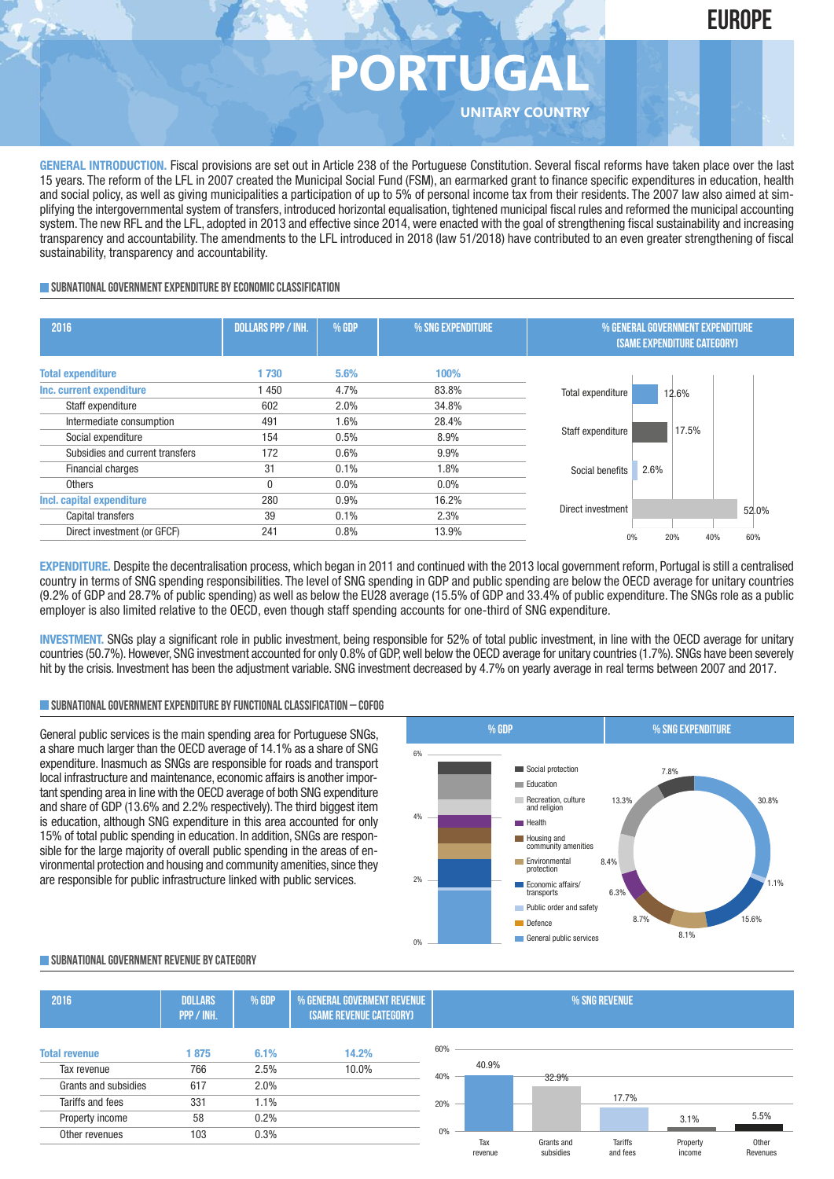

# **PORTUG**

**UNITARY COUNTRY**

**GENERAL INTRODUCTION.** Fiscal provisions are set out in Article 238 of the Portuguese Constitution. Several fiscal reforms have taken place over the last 15 years. The reform of the LFL in 2007 created the Municipal Social Fund (FSM), an earmarked grant to finance specific expenditures in education, health and social policy, as well as giving municipalities a participation of up to 5% of personal income tax from their residents. The 2007 law also aimed at simplifying the intergovernmental system of transfers, introduced horizontal equalisation, tightened municipal fiscal rules and reformed the municipal accounting system. The new RFL and the LFL, adopted in 2013 and effective since 2014, were enacted with the goal of strengthening fiscal sustainability and increasing transparency and accountability. The amendments to the LFL introduced in 2018 (law 51/2018) have contributed to an even greater strengthening of fiscal sustainability, transparency and accountability.

#### **SUBNATIONAL GOVERNMENT EXPENDITURE BY ECONOMIC CLASSIFICATION**

| 2016                                                  | <b>DOLLARS PPP / INH.</b> | <b>% GDP</b> | % SNG EXPENDITURE | % GENERAL GOVERNMENT EXPENDITURE<br>(SAME EXPENDITURE CATEGORY) |  |  |  |
|-------------------------------------------------------|---------------------------|--------------|-------------------|-----------------------------------------------------------------|--|--|--|
| <b>Total expenditure</b>                              | 1730                      | 5.6%         | 100%              |                                                                 |  |  |  |
| Inc. current expenditure<br>Staff expenditure         | 450<br>602                | 4.7%<br>2.0% | 83.8%<br>34.8%    | Total expenditure<br>12.6%                                      |  |  |  |
| Intermediate consumption                              | 491                       | 1.6%         | 28.4%             | 17.5%<br>Staff expenditure                                      |  |  |  |
| Social expenditure<br>Subsidies and current transfers | 154<br>172                | 0.5%<br>0.6% | 8.9%<br>9.9%      |                                                                 |  |  |  |
| <b>Financial charges</b>                              | 31                        | 0.1%         | 1.8%              | 2.6%<br>Social benefits                                         |  |  |  |
| Others                                                | $\theta$                  | 0.0%         | 0.0%              |                                                                 |  |  |  |
| Incl. capital expenditure<br>Capital transfers        | 280<br>39                 | 0.9%<br>0.1% | 16.2%<br>2.3%     | Direct investment<br>52.0%                                      |  |  |  |
| Direct investment (or GFCF)                           | 241                       | 0.8%         | 13.9%             | 20%<br>40%<br>60%<br>0%                                         |  |  |  |

**EXPENDITURE**. Despite the decentralisation process, which began in 2011 and continued with the 2013 local government reform, Portugal is still a centralised country in terms of SNG spending responsibilities. The level of SNG spending in GDP and public spending are below the OECD average for unitary countries (9.2% of GDP and 28.7% of public spending) as well as below the EU28 average (15.5% of GDP and 33.4% of public expenditure. The SNGs role as a public employer is also limited relative to the OECD, even though staff spending accounts for one-third of SNG expenditure.

**INVESTMENT.** SNGs play a significant role in public investment, being responsible for 52% of total public investment, in line with the OECD average for unitary countries (50.7%). However, SNG investment accounted for only 0.8% of GDP,well below the OECD average for unitary countries (1.7%). SNGs have been severely hit by the crisis. Investment has been the adjustment variable. SNG investment decreased by 4.7% on yearly average in real terms between 2007 and 2017.

#### **SUBNATIONALGOVERNMENTEXPENDITURE BYFUNCTIONALCLASSIFICATION – COFOG**

General public services is the main spending area for Portuguese SNGs, a share much larger than the OECD average of 14.1% as a share of SNG expenditure. Inasmuch as SNGs are responsible for roads and transport local infrastructure and maintenance, economic affairs is another important spending area in line with the OECD average of both SNG expenditure and share of GDP (13.6% and 2.2% respectively). The third biggest item is education, although SNG expenditure in this area accounted for only 15% of total public spending in education. In addition, SNGs are responsible for the large majority of overall public spending in the areas of environmental protection and housing and community amenities, since they are responsible for public infrastructure linked with public services.



#### **SUBNATIONALGOVERNMENT REVENUE BYCATEGORY**

| 2016                 | <b>DOLLARS</b><br>PPP / INH. | % GDP   | % GENERAL GOVERMENT REVENUE<br>(SAME REVENUE CATEGORY) |     | % SNG REVENUE  |                         |                            |                    |                   |
|----------------------|------------------------------|---------|--------------------------------------------------------|-----|----------------|-------------------------|----------------------------|--------------------|-------------------|
| <b>Total revenue</b> | 875                          | 6.1%    | 14.2%                                                  | 60% |                |                         |                            |                    |                   |
| Tax revenue          | 766                          | 2.5%    | 10.0%                                                  | 40% | 40.9%          | 32.9%                   |                            |                    |                   |
| Grants and subsidies | 617                          | 2.0%    |                                                        |     |                |                         |                            |                    |                   |
| Tariffs and fees     | 331                          | $1.1\%$ |                                                        | 20% |                |                         | 17.7%                      |                    |                   |
| Property income      | 58                           | 0.2%    |                                                        |     |                |                         |                            | 3.1%               | 5.5%              |
| Other revenues       | 103                          | 0.3%    |                                                        | 0%  | Tax<br>revenue | Grants and<br>subsidies | <b>Tariffs</b><br>and fees | Property<br>income | Other<br>Revenues |